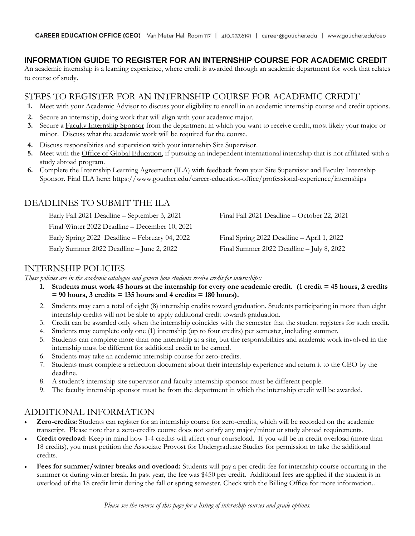# **INFORMATION GUIDE TO REGISTER FOR AN INTERNSHIP COURSE FOR ACADEMIC CREDIT**

An academic internship is a learning experience, where credit is awarded through an academic department for work that relates to course of study.

### STEPS TO REGISTER FOR AN INTERNSHIP COURSE FOR ACADEMIC CREDIT

- **1.** Meet with your Academic Advisor to discuss your eligibility to enroll in an academic internship course and credit options.
- **2.** Secure an internship, doing work that will align with your academic major.
- **3.** Secure a Faculty Internship Sponsor from the department in which you want to receive credit, most likely your major or minor. Discuss what the academic work will be required for the course.
- **4.** Discuss responsibities and supervision with your internship Site Supervisor.
- **5.** Meet with the Office of Global Education, if pursuing an independent international internship that is not affiliated with a study abroad program.
- **6.** Complete the Internship Learning Agreement (ILA) with feedback from your Site Supervisor and Faculty Internship Sponsor. Find ILA here**:** https://www.goucher.edu/career-education-office/professional-experience/internships

## DEADLINES TO SUBMIT THE ILA

Early Fall 2021 Deadline – September 3, 2021 Final Fall 2021 Deadline – October 22, 2021 Final Winter 2022 Deadline – December 10, 2021 Early Spring 2022 Deadline – February 04, 2022 Final Spring 2022 Deadline – April 1, 2022 Early Summer 2022 Deadline – June 2, 2022 Final Summer 2022 Deadline – July 8, 2022

### INTERNSHIP POLICIES

*These policies are in the academic catalogue and govern how students receive credit for internships:* 

- **1. Students must work 45 hours at the internship for every one academic credit. (1 credit = 45 hours, 2 credits = 90 hours, 3 credits = 135 hours and 4 credits = 180 hours).**
- 2. Students may earn a total of eight (8) internship credits toward graduation. Students participating in more than eight internship credits will not be able to apply additional credit towards graduation.
- 3. Credit can be awarded only when the internship coincides with the semester that the student registers for such credit.
- 4. Students may complete only one (1) internship (up to four credits) per semester, including summer.
- 5. Students can complete more than one internship at a site, but the responsibilities and academic work involved in the internship must be different for additional credit to be earned.
- 6. Students may take an academic internship course for zero-credits.
- 7. Students must complete a reflection document about their internship experience and return it to the CEO by the deadline.
- 8. A student's internship site supervisor and faculty internship sponsor must be different people.
- 9. The faculty internship sponsor must be from the department in which the internship credit will be awarded.

## ADDITIONAL INFORMATION

- **Zero-credits:** Students can register for an internship course for zero-credits, which will be recorded on the academic transcript. Please note that a zero-credits course does not satisfy any major/minor or study abroad requirements.
- **Credit overload**: Keep in mind how 1-4 credits will affect your courseload. If you will be in credit overload (more than 18 credits), you must petition the Associate Provost for Undergraduate Studies for permission to take the additional credits.
- **Fees for summer/winter breaks and overload:** Students will pay a per credit-fee for internship course occurring in the summer or during winter break. In past year, the fee was \$450 per credit. Additional fees are applied if the student is in overload of the 18 credit limit during the fall or spring semester. Check with the Billing Office for more information..